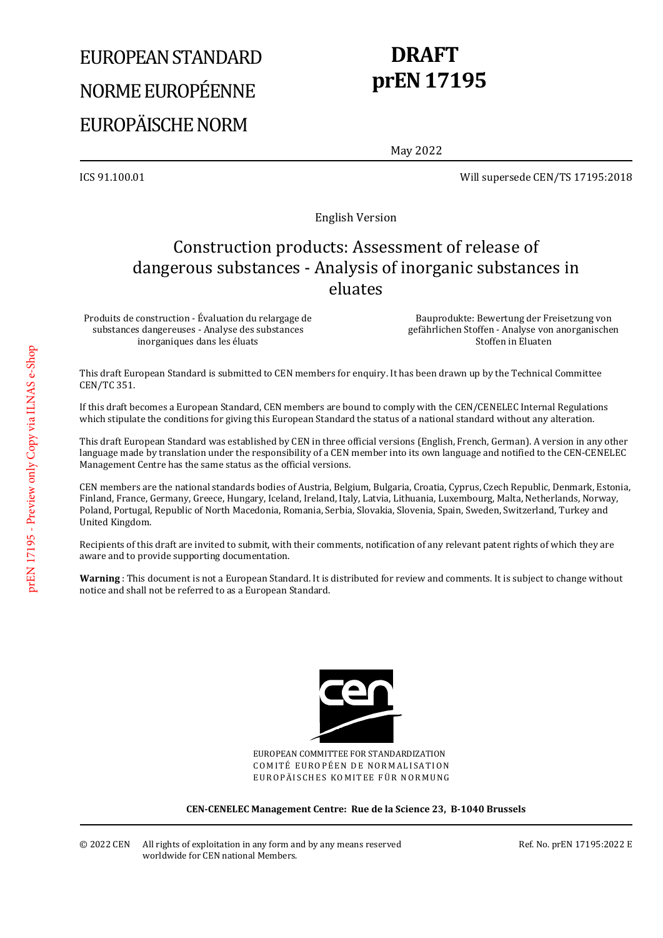# EUROPEAN STANDARD NORME EUROPÉENNE EUROPÄISCHE NORM

# **DRAFT prEN 17195**

May 2022

ICS 91.100.01 Will supersede CEN/TS 17195:2018

English Version

## Construction products: Assessment of release of dangerous substances - Analysis of inorganic substances in eluates

Produits de construction - Évaluation du relargage de substances dangereuses - Analyse des substances inorganiques dans les éluats

 Bauprodukte: Bewertung der Freisetzung von gefährlichen Stoffen - Analyse von anorganischen Stoffen in Eluaten

This draft European Standard is submitted to CEN members for enquiry. It has been drawn up by the Technical Committee CEN/TC 351.

If this draft becomes a European Standard, CEN members are bound to comply with the CEN/CENELEC Internal Regulations which stipulate the conditions for giving this European Standard the status of a national standard without any alteration.

This draft European Standard was established by CEN in three official versions (English, French, German). A version in any other language made by translation under the responsibility of a CEN member into its own language and notified to the CEN-CENELEC Management Centre has the same status as the official versions.

CEN members are the national standards bodies of Austria, Belgium, Bulgaria, Croatia, Cyprus, Czech Republic, Denmark, Estonia, Finland, France, Germany, Greece, Hungary, Iceland, Ireland, Italy, Latvia, Lithuania, Luxembourg, Malta, Netherlands, Norway, Poland, Portugal, Republic of North Macedonia, Romania, Serbia, Slovakia, Slovenia, Spain, Sweden, Switzerland, Turkey and United Kingdom.

Recipients of this draft are invited to submit, with their comments, notification of any relevant patent rights of which they are aware and to provide supporting documentation.

**Warning** : This document is not a European Standard. It is distributed for review and comments. It is subject to change without notice and shall not be referred to as a European Standard.



EUROPEAN COMMITTEE FOR STANDARDIZATION COMITÉ EUROPÉEN DE NORMALISATION EUROPÄISCHES KOMITEE FÜR NORMUNG

**CEN-CENELEC Management Centre: Rue de la Science 23, B-1040 Brussels** 

© 2022 CEN All rights of exploitation in any form and by any means reserved worldwide for CEN national Members.

Ref. No. prEN 17195:2022 E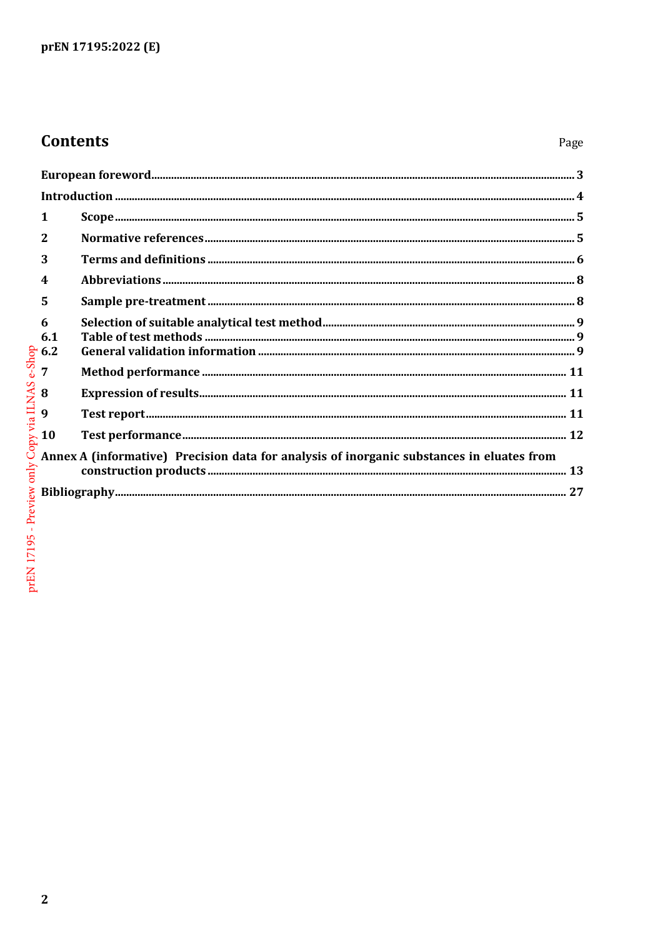# **Contents**

| ${\bf European\; foreword.}\label{prop:ex1} 3$                                            |  |  |
|-------------------------------------------------------------------------------------------|--|--|
|                                                                                           |  |  |
| 1                                                                                         |  |  |
| $\mathbf{2}$                                                                              |  |  |
| 3                                                                                         |  |  |
| $\boldsymbol{4}$                                                                          |  |  |
| 5                                                                                         |  |  |
| 6<br>6.1<br>56.2                                                                          |  |  |
| $\overline{7}$                                                                            |  |  |
| 8                                                                                         |  |  |
| 9                                                                                         |  |  |
| $\sim$ 10                                                                                 |  |  |
| Annex A (informative) Precision data for analysis of inorganic substances in eluates from |  |  |
|                                                                                           |  |  |
|                                                                                           |  |  |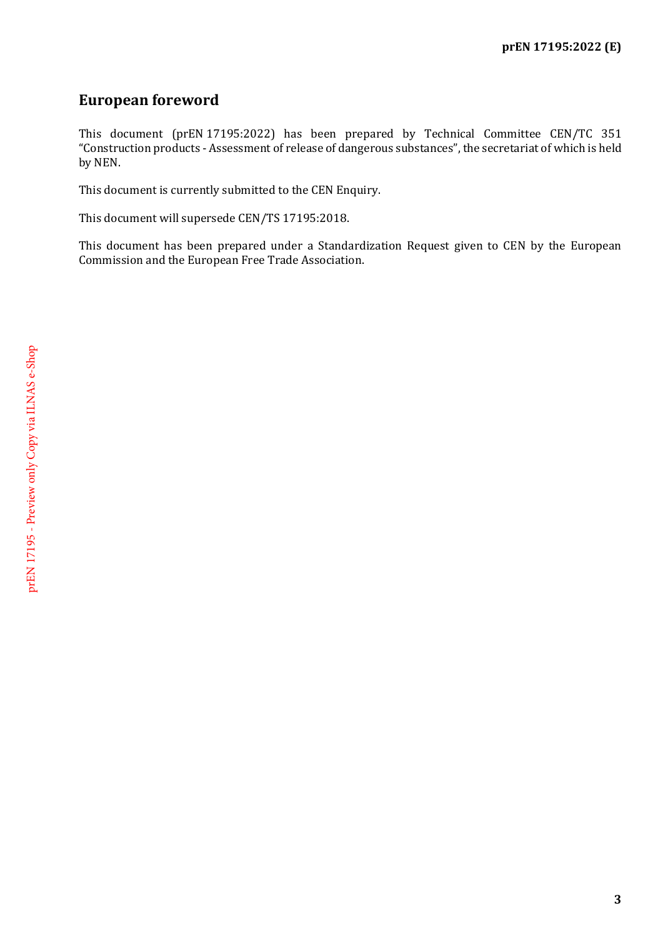## <span id="page-2-0"></span>**European foreword**

This document (prEN 17195:2022) has been prepared by Technical Committee CEN/TC 351 "Construction products - Assessment of release of dangerous substances", the secretariat of which is held by NEN.

This document is currently submitted to the CEN Enquiry.

This document will supersede CEN/TS 17195:2018.

This document has been prepared under a Standardization Request given to CEN by the European Commission and the European Free Trade Association.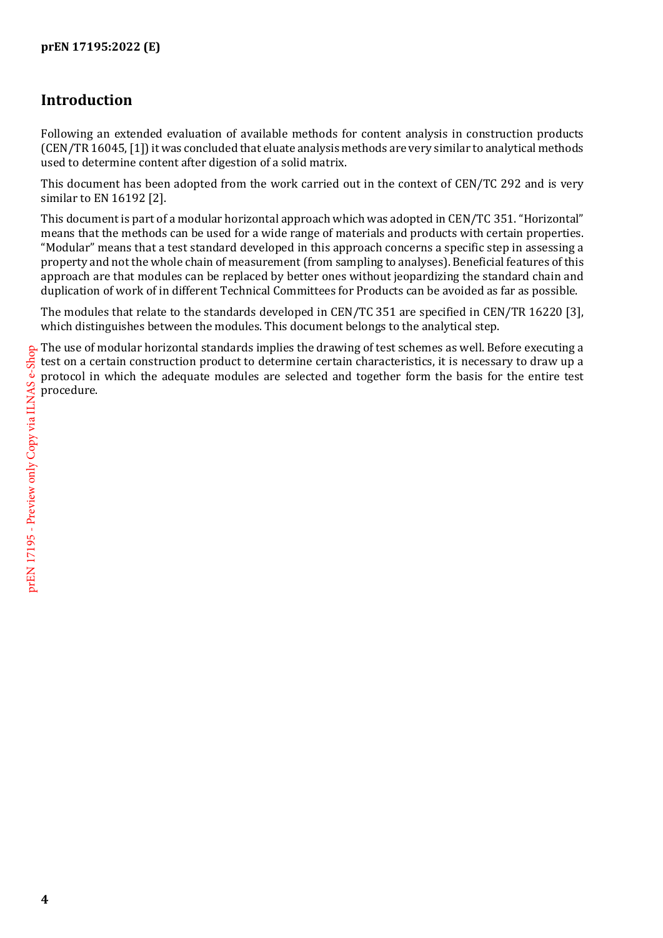## <span id="page-3-0"></span>**Introduction**

Following an extended evaluation of available methods for content analysis in construction products (CEN/TR 16045, [1]) it was concluded that eluate analysis methods are very similar to analytical methods used to determine content after digestion of a solid matrix.

This document has been adopted from the work carried out in the context of CEN/TC 292 and is very similar to EN 16192 [2].

This document is part of a modular horizontal approach which was adopted in CEN/TC 351. "Horizontal" means that the methods can be used for a wide range of materials and products with certain properties. "Modular" means that a test standard developed in this approach concerns a specific step in assessing a property and not the whole chain of measurement (from sampling to analyses). Beneficial features of this approach are that modules can be replaced by better ones without jeopardizing the standard chain and duplication of work of in different Technical Committees for Products can be avoided as far as possible.

The modules that relate to the standards developed in CEN/TC 351 are specified in CEN/TR 16220 [3], which distinguishes between the modules. This document belongs to the analytical step. which distinguishes between the modules. This document belongs to the analytical step.

The use of modular horizontal standards implies the drawing of test schemes as well. Before executing a test on a certain construction product to determine certain characteristics, it is necessary to draw up a protocol in which the adequate modules are selected and together form the basis for the entire test procedure.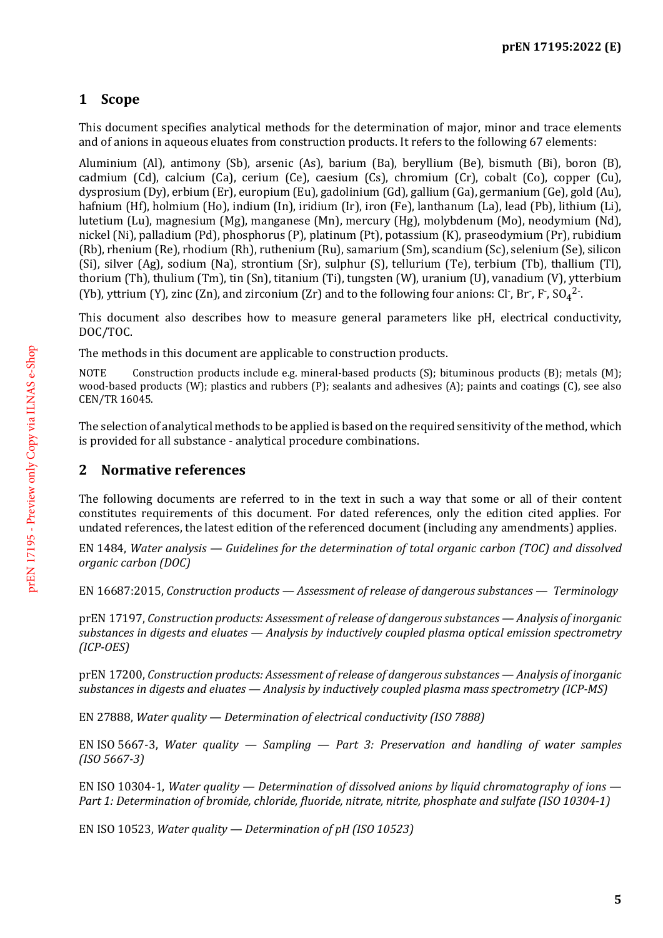## <span id="page-4-0"></span>**1 Scope**

This document specifies analytical methods for the determination of major, minor and trace elements and of anions in aqueous eluates from construction products. It refers to the following 67 elements:

Aluminium (Al), antimony (Sb), arsenic (As), barium (Ba), beryllium (Be), bismuth (Bi), boron (B), cadmium (Cd), calcium (Ca), cerium (Ce), caesium (Cs), chromium (Cr), cobalt (Co), copper (Cu), dysprosium (Dy), erbium (Er), europium (Eu), gadolinium (Gd), gallium (Ga), germanium (Ge), gold (Au), hafnium (Hf), holmium (Ho), indium (In), iridium (Ir), iron (Fe), lanthanum (La), lead (Pb), lithium (Li), lutetium (Lu), magnesium (Mg), manganese (Mn), mercury (Hg), molybdenum (Mo), neodymium (Nd), nickel (Ni), palladium (Pd), phosphorus (P), platinum (Pt), potassium (K), praseodymium (Pr), rubidium (Rb), rhenium (Re), rhodium (Rh), ruthenium (Ru), samarium (Sm), scandium (Sc), selenium (Se), silicon (Si), silver (Ag), sodium (Na), strontium (Sr), sulphur (S), tellurium (Te), terbium (Tb), thallium (Tl), thorium (Th), thulium (Tm), tin (Sn), titanium (Ti), tungsten (W), uranium (U), vanadium (V), ytterbium (Yb), yttrium (Y), zinc (Zn), and zirconium (Zr) and to the following four anions: Cl<sup>-</sup>, Br<sup>-</sup>, F<sup>-</sup>, SO<sub>4</sub><sup>2-</sup>.

This document also describes how to measure general parameters like pH, electrical conductivity, DOC/TOC.

The methods in this document are applicable to construction products.

NOTE Construction products include e.g. mineral-based products (S); bituminous products (B); metals (M); wood-based products (W); plastics and rubbers (P); sealants and adhesives (A); paints and coatings (C), see also CEN/TR 16045.

The selection of analytical methods to be applied is based on the required sensitivity of the method, which is provided for all substance - analytical procedure combinations.

#### <span id="page-4-1"></span>**2 Normative references**

The following documents are referred to in the text in such a way that some or all of their content constitutes requirements of this document. For dated references, only the edition cited applies. For undated references, the latest edition of the referenced document (including any amendments) applies.

EN 1484, *Water analysis — Guidelines for the determination of total organic carbon (TOC) and dissolved organic carbon (DOC)*

EN 16687:2015, *Construction products — Assessment of release of dangerous substances — Terminology*

prEN 17197, *Construction products: Assessment of release of dangerous substances — Analysis of inorganic substances in digests and eluates — Analysis by inductively coupled plasma optical emission spectrometry (ICP-OES)*

prEN 17200, *Construction products: Assessment of release of dangerous substances — Analysis of inorganic substances in digests and eluates — Analysis by inductively coupled plasma mass spectrometry (ICP-MS)*

EN 27888, *Water quality — Determination of electrical conductivity (ISO 7888)*

EN ISO 5667-3, *Water quality — Sampling — Part 3: Preservation and handling of water samples (ISO 5667-3)*

EN ISO 10304-1, *Water quality — Determination of dissolved anions by liquid chromatography of ions — Part 1: Determination of bromide, chloride, fluoride, nitrate, nitrite, phosphate and sulfate (ISO 10304-1)*

EN ISO 10523, *Water quality — Determination of pH (ISO 10523)*